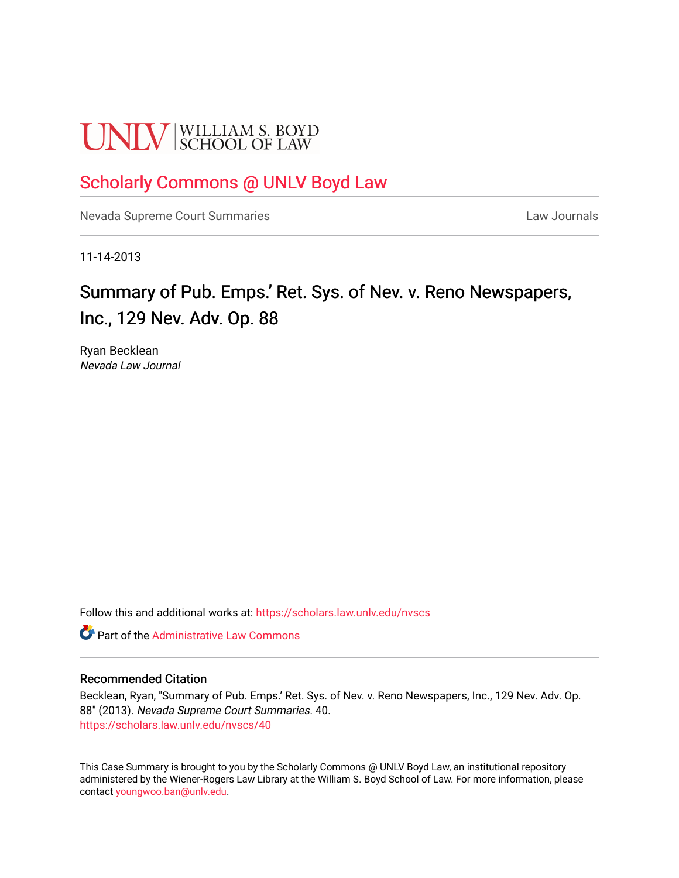# **UNLV** SCHOOL OF LAW

# [Scholarly Commons @ UNLV Boyd Law](https://scholars.law.unlv.edu/)

[Nevada Supreme Court Summaries](https://scholars.law.unlv.edu/nvscs) **Law Journals** Law Journals

11-14-2013

# Summary of Pub. Emps.' Ret. Sys. of Nev. v. Reno Newspapers, Inc., 129 Nev. Adv. Op. 88

Ryan Becklean Nevada Law Journal

Follow this and additional works at: [https://scholars.law.unlv.edu/nvscs](https://scholars.law.unlv.edu/nvscs?utm_source=scholars.law.unlv.edu%2Fnvscs%2F40&utm_medium=PDF&utm_campaign=PDFCoverPages)

**C** Part of the Administrative Law Commons

#### Recommended Citation

Becklean, Ryan, "Summary of Pub. Emps.' Ret. Sys. of Nev. v. Reno Newspapers, Inc., 129 Nev. Adv. Op. 88" (2013). Nevada Supreme Court Summaries. 40. [https://scholars.law.unlv.edu/nvscs/40](https://scholars.law.unlv.edu/nvscs/40?utm_source=scholars.law.unlv.edu%2Fnvscs%2F40&utm_medium=PDF&utm_campaign=PDFCoverPages) 

This Case Summary is brought to you by the Scholarly Commons @ UNLV Boyd Law, an institutional repository administered by the Wiener-Rogers Law Library at the William S. Boyd School of Law. For more information, please contact [youngwoo.ban@unlv.edu](mailto:youngwoo.ban@unlv.edu).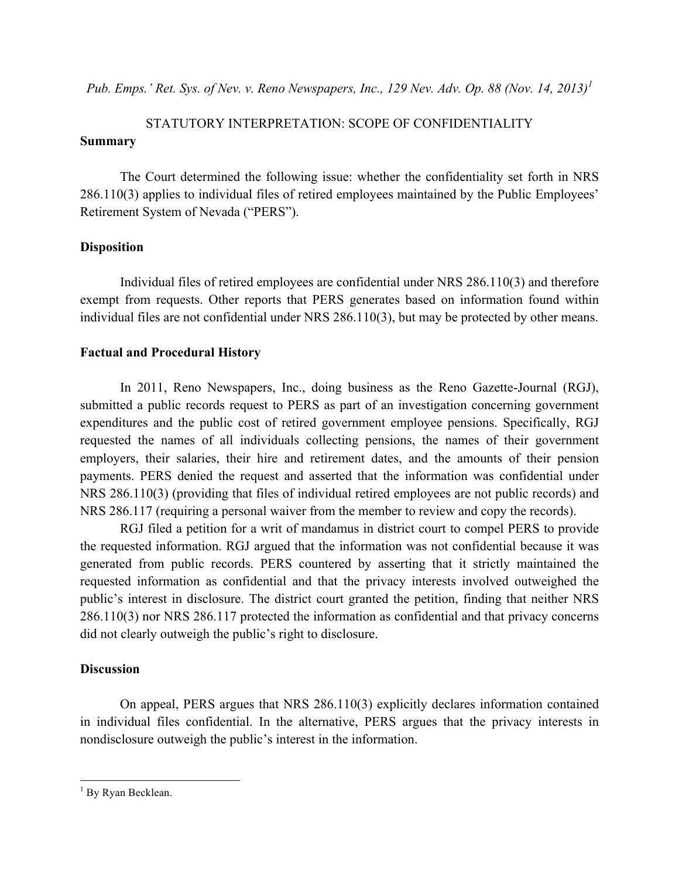*Pub. Emps.' Ret. Sys. of Nev. v. Reno Newspapers, Inc., 129 Nev. Adv. Op. 88 (Nov. 14, 2013)<sup>1</sup>*

# STATUTORY INTERPRETATION: SCOPE OF CONFIDENTIALITY **Summary**

The Court determined the following issue: whether the confidentiality set forth in NRS 286.110(3) applies to individual files of retired employees maintained by the Public Employees' Retirement System of Nevada ("PERS").

## **Disposition**

Individual files of retired employees are confidential under NRS 286.110(3) and therefore exempt from requests. Other reports that PERS generates based on information found within individual files are not confidential under NRS 286.110(3), but may be protected by other means.

## **Factual and Procedural History**

In 2011, Reno Newspapers, Inc., doing business as the Reno Gazette-Journal (RGJ), submitted a public records request to PERS as part of an investigation concerning government expenditures and the public cost of retired government employee pensions. Specifically, RGJ requested the names of all individuals collecting pensions, the names of their government employers, their salaries, their hire and retirement dates, and the amounts of their pension payments. PERS denied the request and asserted that the information was confidential under NRS 286.110(3) (providing that files of individual retired employees are not public records) and NRS 286.117 (requiring a personal waiver from the member to review and copy the records).

RGJ filed a petition for a writ of mandamus in district court to compel PERS to provide the requested information. RGJ argued that the information was not confidential because it was generated from public records. PERS countered by asserting that it strictly maintained the requested information as confidential and that the privacy interests involved outweighed the public's interest in disclosure. The district court granted the petition, finding that neither NRS 286.110(3) nor NRS 286.117 protected the information as confidential and that privacy concerns did not clearly outweigh the public's right to disclosure.

## **Discussion**

On appeal, PERS argues that NRS 286.110(3) explicitly declares information contained in individual files confidential. In the alternative, PERS argues that the privacy interests in nondisclosure outweigh the public's interest in the information.

<sup>&</sup>lt;sup>1</sup> By Ryan Becklean.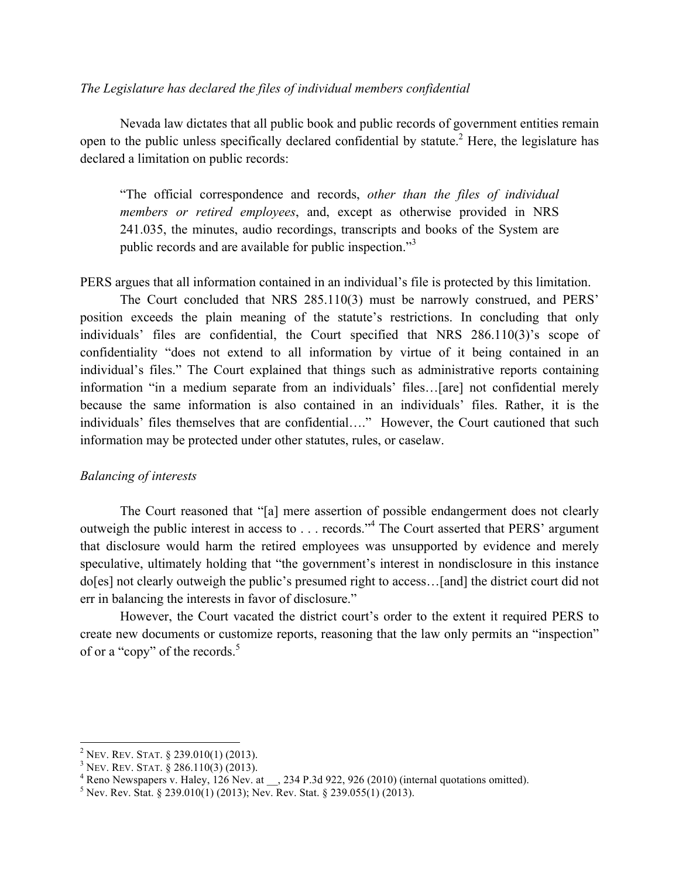#### *The Legislature has declared the files of individual members confidential*

Nevada law dictates that all public book and public records of government entities remain open to the public unless specifically declared confidential by statute.<sup>2</sup> Here, the legislature has declared a limitation on public records:

"The official correspondence and records, *other than the files of individual members or retired employees*, and, except as otherwise provided in NRS 241.035, the minutes, audio recordings, transcripts and books of the System are public records and are available for public inspection."<sup>3</sup>

PERS argues that all information contained in an individual's file is protected by this limitation.

The Court concluded that NRS 285.110(3) must be narrowly construed, and PERS' position exceeds the plain meaning of the statute's restrictions. In concluding that only individuals' files are confidential, the Court specified that NRS 286.110(3)'s scope of confidentiality "does not extend to all information by virtue of it being contained in an individual's files." The Court explained that things such as administrative reports containing information "in a medium separate from an individuals' files…[are] not confidential merely because the same information is also contained in an individuals' files. Rather, it is the individuals' files themselves that are confidential…." However, the Court cautioned that such information may be protected under other statutes, rules, or caselaw.

#### *Balancing of interests*

The Court reasoned that "[a] mere assertion of possible endangerment does not clearly outweigh the public interest in access to . . . records."<sup>4</sup> The Court asserted that PERS' argument that disclosure would harm the retired employees was unsupported by evidence and merely speculative, ultimately holding that "the government's interest in nondisclosure in this instance do[es] not clearly outweigh the public's presumed right to access…[and] the district court did not err in balancing the interests in favor of disclosure."

However, the Court vacated the district court's order to the extent it required PERS to create new documents or customize reports, reasoning that the law only permits an "inspection" of or a "copy" of the records.<sup>5</sup>

<sup>&</sup>lt;sup>2</sup> NEV. REV. STAT. § 239.010(1) (2013).<br><sup>3</sup> NEV. REV. STAT. § 286.110(3) (2013).<br><sup>4</sup> Reno Newspapers v. Haley, 126 Nev. at \_\_, 234 P.3d 922, 926 (2010) (internal quotations omitted).<br><sup>5</sup> Nev. Rev. Stat. § 239.010(1) (201